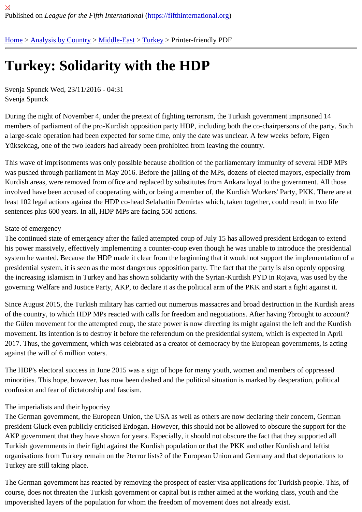## [Tur](https://fifthinternational.org/)[key: Solida](https://fifthinternational.org/category/1)[rity wi](https://fifthinternational.org/category/1/178)t[h th](https://fifthinternational.org/category/1/178/174)e HDP

Svenja Spunck Wed, 23/11/2016 - 04:31 Svenja Spunck

During the night of November 4, under the pretext of fighting terrorism, the Turkish government imprisoned 14 members of parliament of the pro-Kurdish opposition party HDP, including both the co-chairpersons of the party. S a large-scale operation had been expected for some time, only the date was unclear. A few weeks before, Figen Yüksekdag, one of the two leaders had already been prohibited from leaving the country.

This wave of imprisonments was only possible because abolition of the parliamentary immunity of several HDP MI was pushed through parliament in May 2016. Before the jailing of the MPs, dozens of elected mayors, especially f Kurdish areas, were removed from office and replaced by substitutes from Ankara loyal to the government. All tho involved have been accused of cooperating with, or being a member of, the Kurdish Workers' Party, PKK. There a least 102 legal actions against the HDP co-head Selahattin Demirtas which, taken together, could result in two life sentences plus 600 years. In all, HDP MPs are facing 550 actions.

## State of emergency

The continued state of emergency after the failed attempted coup of July 15 has allowed president Erdogan to exte his power massively, effectively implementing a counter-coup even though he was unable to introduce the preside system he wanted. Because the HDP made it clear from the beginning that it would not support the implementation presidential system, it is seen as the most dangerous opposition party. The fact that the party is also openly oppos the increasing islamism in Turkey and has shown solidarity with the Syrian-Kurdish PYD in Rojava, was used by th governing Welfare and Justice Party, AKP, to declare it as the political arm of the PKK and start a fight against it.

Since August 2015, the Turkish military has carried out numerous massacres and broad destruction in the Kurdish of the country, to which HDP MPs reacted with calls for freedom and negotiations. After having ?brought to account the Gülen movement for the attempted coup, the state power is now directing its might against the left and the Kur movement. Its intention is to destroy it before the referendum on the presidential system, which is expected in April 2017. Thus, the government, which was celebrated as a creator of democracy by the European governments, is a against the will of 6 million voters.

The HDP's electoral success in June 2015 was a sign of hope for many youth, women and members of oppressed minorities. This hope, however, has now been dashed and the political situation is marked by desperation, political confusion and fear of dictatorship and fascism.

## The imperialists and their hypocrisy

The German government, the European Union, the USA as well as others are now declaring their concern, Germa president Gluck even publicly criticised Erdogan. However, this should not be allowed to obscure the support for th AKP government that they have shown for years. Especially, it should not obscure the fact that they supported all Turkish governments in their fight against the Kurdish population or that the PKK and other Kurdish and leftist organisations from Turkey remain on the ?terror lists? of the European Union and Germany and that deportations Turkey are still taking place.

The German government has reacted by removing the prospect of easier visa applications for Turkish people. This course, does not threaten the Turkish government or capital but is rather aimed at the working class, youth and the impoverished layers of the population for whom the freedom of movement does not already exist.